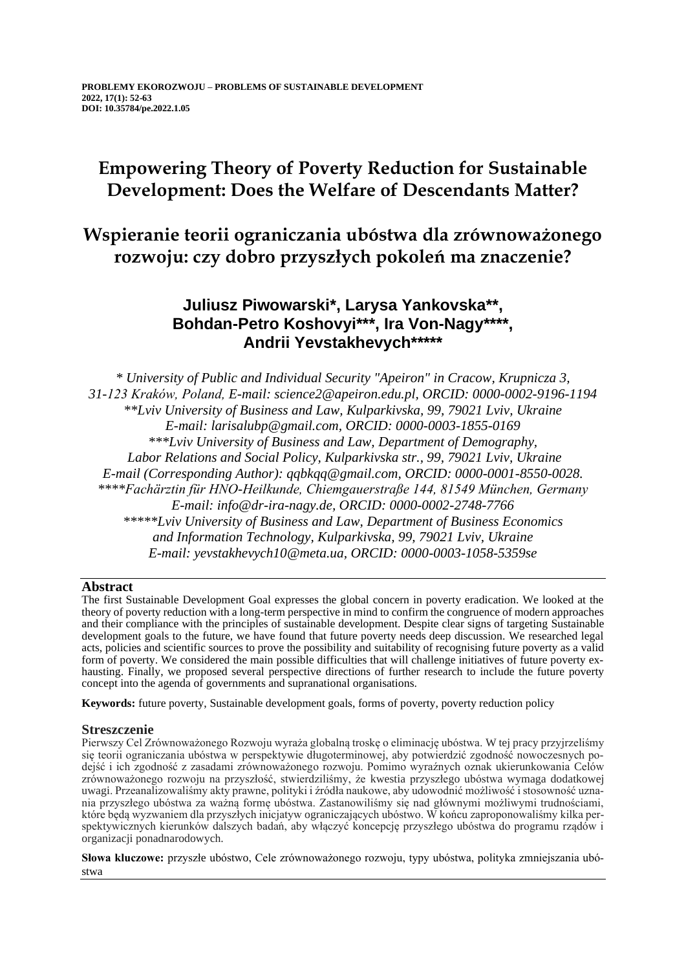# **Empowering Theory of Poverty Reduction for Sustainable Development: Does the Welfare of Descendants Matter?**

# **Wspieranie teorii ograniczania ubóstwa dla zrównoważonego rozwoju: czy dobro przyszłych pokoleń ma znaczenie?**

## **Juliusz Piwowarski\*, Larysa Yankovska\*\*, Bohdan-Petro Koshovyi\*\*\*, Ira Von-Nagy\*\*\*\*, Andrii Yevstakhevych\*\*\*\*\***

*\* University of Public and Individual Security "Apeiron" in Cracow, Krupnicza 3, 31-123 Kraków, Poland, E-mail: science2@apeiron.edu.pl, ORCID: 0000-0002-9196-1194 \*\*Lviv University of Business and Law, Kulparkivska, 99, 79021 Lviv, Ukraine E-mail: larisalubp@gmail.com, ORCID: 0000-0003-1855-0169 \*\*\*Lviv University of Business and Law, Department of Demography, Labor Relations and Social Policy, Kulparkivska str., 99, 79021 Lviv, Ukraine E-mail (Corresponding Author): qqbkqq@gmail.com, ORCID: 0000-0001-8550-0028. \*\*\*\*Fachärztin für HNO-Heilkunde, Chiemgauerstraße 144, 81549 München, Germany E-mail: info@dr-ira-nagy.de, ORCID: 0000-0002-2748-7766 \*\*\*\*\*Lviv University of Business and Law, Department of Business Economics and Information Technology, Kulparkivska, 99, 79021 Lviv, Ukraine E-mail: yevstakhevych10@meta.ua, ORCID: 0000-0003-1058-5359se*

### **Abstract**

The first Sustainable Development Goal expresses the global concern in poverty eradication. We looked at the theory of poverty reduction with a long-term perspective in mind to confirm the congruence of modern approaches and their compliance with the principles of sustainable development. Despite clear signs of targeting Sustainable development goals to the future, we have found that future poverty needs deep discussion. We researched legal acts, policies and scientific sources to prove the possibility and suitability of recognising future poverty as a valid form of poverty. We considered the main possible difficulties that will challenge initiatives of future poverty exhausting. Finally, we proposed several perspective directions of further research to include the future poverty concept into the agenda of governments and supranational organisations.

**Keywords:** future poverty, Sustainable development goals, forms of poverty, poverty reduction policy

### **Streszczenie**

Pierwszy Cel Zrównoważonego Rozwoju wyraża globalną troskę o eliminację ubóstwa. W tej pracy przyjrzeliśmy się teorii ograniczania ubóstwa w perspektywie długoterminowej, aby potwierdzić zgodność nowoczesnych podejść i ich zgodność z zasadami zrównoważonego rozwoju. Pomimo wyraźnych oznak ukierunkowania Celów zrównoważonego rozwoju na przyszłość, stwierdziliśmy, że kwestia przyszłego ubóstwa wymaga dodatkowej uwagi. Przeanalizowaliśmy akty prawne, polityki i źródła naukowe, aby udowodnić możliwość i stosowność uznania przyszłego ubóstwa za ważną formę ubóstwa. Zastanowiliśmy się nad głównymi możliwymi trudnościami, które będą wyzwaniem dla przyszłych inicjatyw ograniczających ubóstwo. W końcu zaproponowaliśmy kilka perspektywicznych kierunków dalszych badań, aby włączyć koncepcję przyszłego ubóstwa do programu rządów i organizacji ponadnarodowych.

**Słowa kluczowe:** przyszłe ubóstwo, Cele zrównoważonego rozwoju, typy ubóstwa, polityka zmniejszania ubóstwa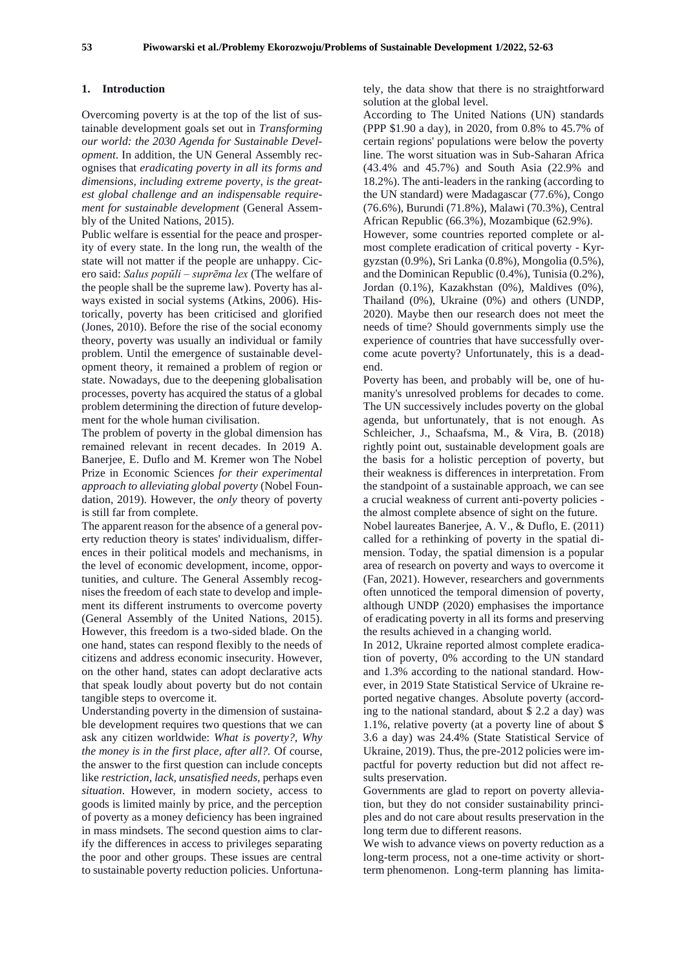#### **1. Introduction**

Overcoming poverty is at the top of the list of sustainable development goals set out in *Transforming our world: the 2030 Agenda for Sustainable Development*. In addition, the UN General Assembly recognises that *eradicating poverty in all its forms and dimensions, including extreme poverty, is the greatest global challenge and an indispensable requirement for sustainable development* (General Assembly of the United Nations, 2015).

Public welfare is essential for the peace and prosperity of every state. In the long run, the wealth of the state will not matter if the people are unhappy. Cicero said: *Salus popŭli – suprēma lex* (The welfare of the people shall be the supreme law). Poverty has always existed in social systems (Atkins, 2006). Historically, poverty has been criticised and glorified (Jones, 2010). Before the rise of the social economy theory, poverty was usually an individual or family problem. Until the emergence of sustainable development theory, it remained a problem of region or state. Nowadays, due to the deepening globalisation processes, poverty has acquired the status of a global problem determining the direction of future development for the whole human civilisation.

The problem of poverty in the global dimension has remained relevant in recent decades. In 2019 A. Banerjee, E. Duflo and M. Kremer won The Nobel Prize in Economic Sciences *for their experimental approach to alleviating global poverty* (Nobel Foundation, 2019). However, the *only* theory of poverty is still far from complete.

The apparent reason for the absence of a general poverty reduction theory is states' individualism, differences in their political models and mechanisms, in the level of economic development, income, opportunities, and culture. The General Assembly recognises the freedom of each state to develop and implement its different instruments to overcome poverty (General Assembly of the United Nations, 2015). However, this freedom is a two-sided blade. On the one hand, states can respond flexibly to the needs of citizens and address economic insecurity. However, on the other hand, states can adopt declarative acts that speak loudly about poverty but do not contain tangible steps to overcome it.

Understanding poverty in the dimension of sustainable development requires two questions that we can ask any citizen worldwide: *What is poverty?, Why the money is in the first place, after all?.* Of course, the answer to the first question can include concepts like *restriction, lack, unsatisfied needs,* perhaps even *situation*. However, in modern society, access to goods is limited mainly by price, and the perception of poverty as a money deficiency has been ingrained in mass mindsets. The second question aims to clarify the differences in access to privileges separating the poor and other groups. These issues are central to sustainable poverty reduction policies. Unfortunately, the data show that there is no straightforward solution at the global level.

According to The United Nations (UN) standards (PPP \$1.90 a day), in 2020, from 0.8% to 45.7% of certain regions' populations were below the poverty line. The worst situation was in Sub-Saharan Africa (43.4% and 45.7%) and South Asia (22.9% and 18.2%). The anti-leaders in the ranking (according to the UN standard) were Madagascar (77.6%), Congo (76.6%), Burundi (71.8%), Malawi (70.3%), Central African Republic (66.3%), Mozambique (62.9%). However, some countries reported complete or almost complete eradication of critical poverty - Kyrgyzstan (0.9%), Sri Lanka (0.8%), Mongolia (0.5%), and the Dominican Republic (0.4%), Tunisia (0.2%), Jordan (0.1%), Kazakhstan (0%), Maldives (0%), Thailand (0%), Ukraine (0%) and others (UNDP, 2020). Maybe then our research does not meet the needs of time? Should governments simply use the experience of countries that have successfully overcome acute poverty? Unfortunately, this is a deadend.

Poverty has been, and probably will be, one of humanity's unresolved problems for decades to come. The UN successively includes poverty on the global agenda, but unfortunately, that is not enough. As Schleicher, J., Schaafsma, M., & Vira, B. (2018) rightly point out, sustainable development goals are the basis for a holistic perception of poverty, but their weakness is differences in interpretation. From the standpoint of a sustainable approach, we can see a crucial weakness of current anti-poverty policies the almost complete absence of sight on the future.

Nobel laureates Banerjee, A. V., & Duflo, E. (2011) called for a rethinking of poverty in the spatial dimension. Today, the spatial dimension is a popular area of research on poverty and ways to overcome it (Fan, 2021). However, researchers and governments often unnoticed the temporal dimension of poverty, although UNDP (2020) emphasises the importance of eradicating poverty in all its forms and preserving the results achieved in a changing world.

In 2012, Ukraine reported almost complete eradication of poverty, 0% according to the UN standard and 1.3% according to the national standard. However, in 2019 State Statistical Service of Ukraine reported negative changes. Absolute poverty (according to the national standard, about \$ 2.2 a day) was 1.1%, relative poverty (at a poverty line of about \$ 3.6 a day) was 24.4% (State Statistical Service of Ukraine, 2019). Thus, the pre-2012 policies were impactful for poverty reduction but did not affect results preservation.

Governments are glad to report on poverty alleviation, but they do not consider sustainability principles and do not care about results preservation in the long term due to different reasons.

We wish to advance views on poverty reduction as a long-term process, not a one-time activity or shortterm phenomenon. Long-term planning has limita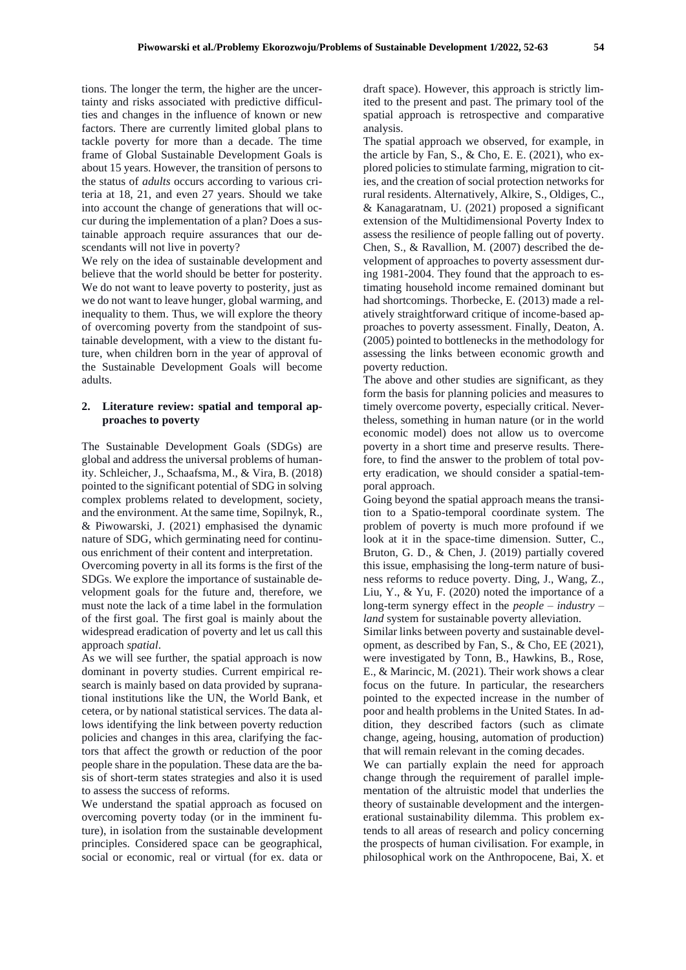tions. The longer the term, the higher are the uncertainty and risks associated with predictive difficulties and changes in the influence of known or new factors. There are currently limited global plans to tackle poverty for more than a decade. The time frame of Global Sustainable Development Goals is about 15 years. However, the transition of persons to the status of *adults* occurs according to various criteria at 18, 21, and even 27 years. Should we take into account the change of generations that will occur during the implementation of a plan? Does a sustainable approach require assurances that our descendants will not live in poverty?

We rely on the idea of sustainable development and believe that the world should be better for posterity. We do not want to leave poverty to posterity, just as we do not want to leave hunger, global warming, and inequality to them. Thus, we will explore the theory of overcoming poverty from the standpoint of sustainable development, with a view to the distant future, when children born in the year of approval of the Sustainable Development Goals will become adults.

#### **2. Literature review: spatial and temporal approaches to poverty**

The Sustainable Development Goals (SDGs) are global and address the universal problems of humanity. Schleicher, J., Schaafsma, M., & Vira, B. (2018) pointed to the significant potential of SDG in solving complex problems related to development, society, and the environment. At the same time, Sopilnyk, R., & Piwowarski, J. (2021) emphasised the dynamic nature of SDG, which germinating need for continuous enrichment of their content and interpretation.

Overcoming poverty in all its forms is the first of the SDGs. We explore the importance of sustainable development goals for the future and, therefore, we must note the lack of a time label in the formulation of the first goal. The first goal is mainly about the widespread eradication of poverty and let us call this approach *spatial*.

As we will see further, the spatial approach is now dominant in poverty studies. Current empirical research is mainly based on data provided by supranational institutions like the UN, the World Bank, et cetera, or by national statistical services. The data allows identifying the link between poverty reduction policies and changes in this area, clarifying the factors that affect the growth or reduction of the poor people share in the population. These data are the basis of short-term states strategies and also it is used to assess the success of reforms.

We understand the spatial approach as focused on overcoming poverty today (or in the imminent future), in isolation from the sustainable development principles. Considered space can be geographical, social or economic, real or virtual (for ex. data or

draft space). However, this approach is strictly limited to the present and past. The primary tool of the spatial approach is retrospective and comparative analysis.

The spatial approach we observed, for example, in the article by Fan, S., & Cho, E. E.  $(2021)$ , who explored policies to stimulate farming, migration to cities, and the creation of social protection networks for rural residents. Alternatively, Alkire, S., Oldiges, C., & Kanagaratnam, U. (2021) proposed a significant extension of the Multidimensional Poverty Index to assess the resilience of people falling out of poverty. Chen, S., & Ravallion, M. (2007) described the development of approaches to poverty assessment during 1981-2004. They found that the approach to estimating household income remained dominant but had shortcomings. Thorbecke, E. (2013) made a relatively straightforward critique of income-based approaches to poverty assessment. Finally, Deaton, A. (2005) pointed to bottlenecks in the methodology for assessing the links between economic growth and poverty reduction.

The above and other studies are significant, as they form the basis for planning policies and measures to timely overcome poverty, especially critical. Nevertheless, something in human nature (or in the world economic model) does not allow us to overcome poverty in a short time and preserve results. Therefore, to find the answer to the problem of total poverty eradication, we should consider a spatial-temporal approach.

Going beyond the spatial approach means the transition to a Spatio-temporal coordinate system. The problem of poverty is much more profound if we look at it in the space-time dimension. Sutter, C., Bruton, G. D., & Chen, J. (2019) partially covered this issue, emphasising the long-term nature of business reforms to reduce poverty. Ding, J., Wang, Z., Liu, Y., & Yu, F. (2020) noted the importance of a long-term synergy effect in the *people – industry – land* system for sustainable poverty alleviation.

Similar links between poverty and sustainable development, as described by Fan, S., & Cho, EE (2021), were investigated by Tonn, B., Hawkins, B., Rose, E., & Marincic, M. (2021). Their work shows a clear focus on the future. In particular, the researchers pointed to the expected increase in the number of poor and health problems in the United States. In addition, they described factors (such as climate change, ageing, housing, automation of production) that will remain relevant in the coming decades.

We can partially explain the need for approach change through the requirement of parallel implementation of the altruistic model that underlies the theory of sustainable development and the intergenerational sustainability dilemma. This problem extends to all areas of research and policy concerning the prospects of human civilisation. For example, in philosophical work on the Anthropocene, Bai, X. et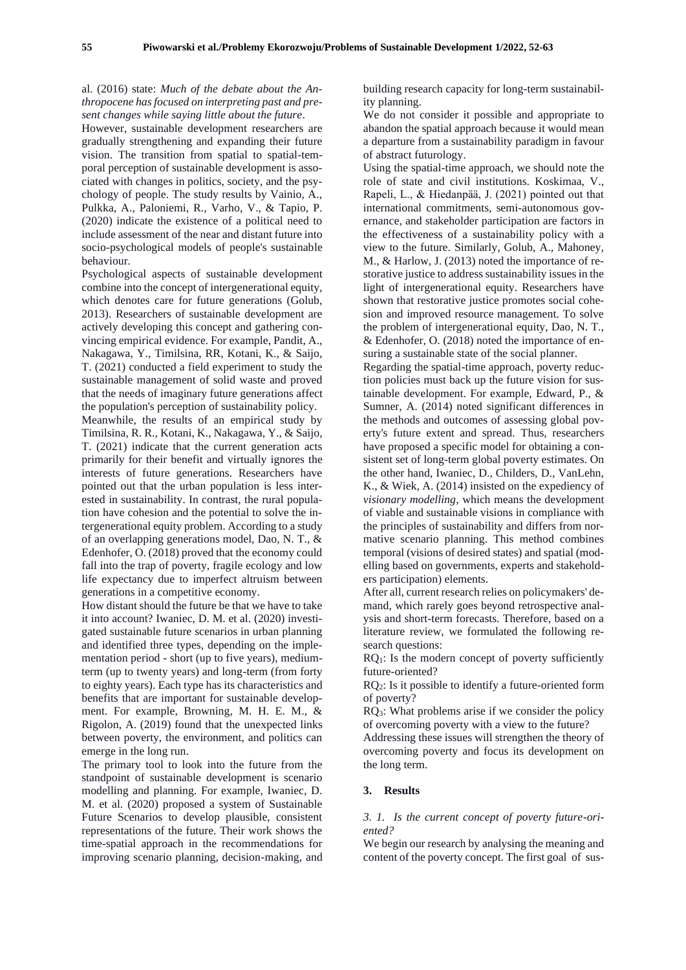al. (2016) state: *Much of the debate about the Anthropocene has focused on interpreting past and present changes while saying little about the future*.

However, sustainable development researchers are gradually strengthening and expanding their future vision. The transition from spatial to spatial-temporal perception of sustainable development is associated with changes in politics, society, and the psychology of people. The study results by Vainio, A., Pulkka, A., Paloniemi, R., Varho, V., & Tapio, P. (2020) indicate the existence of a political need to include assessment of the near and distant future into socio-psychological models of people's sustainable behaviour.

Psychological aspects of sustainable development combine into the concept of intergenerational equity, which denotes care for future generations (Golub, 2013). Researchers of sustainable development are actively developing this concept and gathering convincing empirical evidence. For example, Pandit, A., Nakagawa, Y., Timilsina, RR, Kotani, K., & Saijo, T. (2021) conducted a field experiment to study the sustainable management of solid waste and proved that the needs of imaginary future generations affect the population's perception of sustainability policy.

Meanwhile, the results of an empirical study by Timilsina, R. R., Kotani, K., Nakagawa, Y., & Saijo, T. (2021) indicate that the current generation acts primarily for their benefit and virtually ignores the interests of future generations. Researchers have pointed out that the urban population is less interested in sustainability. In contrast, the rural population have cohesion and the potential to solve the intergenerational equity problem. According to a study of an overlapping generations model, Dao, N. T., & Edenhofer, O. (2018) proved that the economy could fall into the trap of poverty, fragile ecology and low life expectancy due to imperfect altruism between generations in a competitive economy.

How distant should the future be that we have to take it into account? Iwaniec, D. M. et al. (2020) investigated sustainable future scenarios in urban planning and identified three types, depending on the implementation period - short (up to five years), mediumterm (up to twenty years) and long-term (from forty to eighty years). Each type has its characteristics and benefits that are important for sustainable development. For example, Browning, M. H. E. M., & Rigolon, A. (2019) found that the unexpected links between poverty, the environment, and politics can emerge in the long run.

The primary tool to look into the future from the standpoint of sustainable development is scenario modelling and planning. For example, Iwaniec, D. M. et al. (2020) proposed a system of Sustainable Future Scenarios to develop plausible, consistent representations of the future. Their work shows the time-spatial approach in the recommendations for improving scenario planning, decision-making, and building research capacity for long-term sustainability planning.

We do not consider it possible and appropriate to abandon the spatial approach because it would mean a departure from a sustainability paradigm in favour of abstract futurology.

Using the spatial-time approach, we should note the role of state and civil institutions. Koskimaa, V., Rapeli, L., & Hiedanpää, J. (2021) pointed out that international commitments, semi-autonomous governance, and stakeholder participation are factors in the effectiveness of a sustainability policy with a view to the future. Similarly, Golub, A., Mahoney, M., & Harlow, J. (2013) noted the importance of restorative justice to address sustainability issues in the light of intergenerational equity. Researchers have shown that restorative justice promotes social cohesion and improved resource management. To solve the problem of intergenerational equity, Dao, N. T., & Edenhofer, O. (2018) noted the importance of ensuring a sustainable state of the social planner.

Regarding the spatial-time approach, poverty reduction policies must back up the future vision for sustainable development. For example, Edward, P., & Sumner, A. (2014) noted significant differences in the methods and outcomes of assessing global poverty's future extent and spread. Thus, researchers have proposed a specific model for obtaining a consistent set of long-term global poverty estimates. On the other hand, Iwaniec, D., Childers, D., VanLehn, K., & Wiek, A. (2014) insisted on the expediency of *visionary modelling*, which means the development of viable and sustainable visions in compliance with the principles of sustainability and differs from normative scenario planning. This method combines temporal (visions of desired states) and spatial (modelling based on governments, experts and stakeholders participation) elements.

After all, current research relies on policymakers' demand, which rarely goes beyond retrospective analysis and short-term forecasts. Therefore, based on a literature review, we formulated the following research questions:

 $RQ<sub>1</sub>$ : Is the modern concept of poverty sufficiently future-oriented?

RQ2: Is it possible to identify a future-oriented form of poverty?

RQ3: What problems arise if we consider the policy of overcoming poverty with a view to the future?

Addressing these issues will strengthen the theory of overcoming poverty and focus its development on the long term.

#### **3. Results**

#### *3. 1. Is the current concept of poverty future-oriented?*

We begin our research by analysing the meaning and content of the poverty concept. The first goal of sus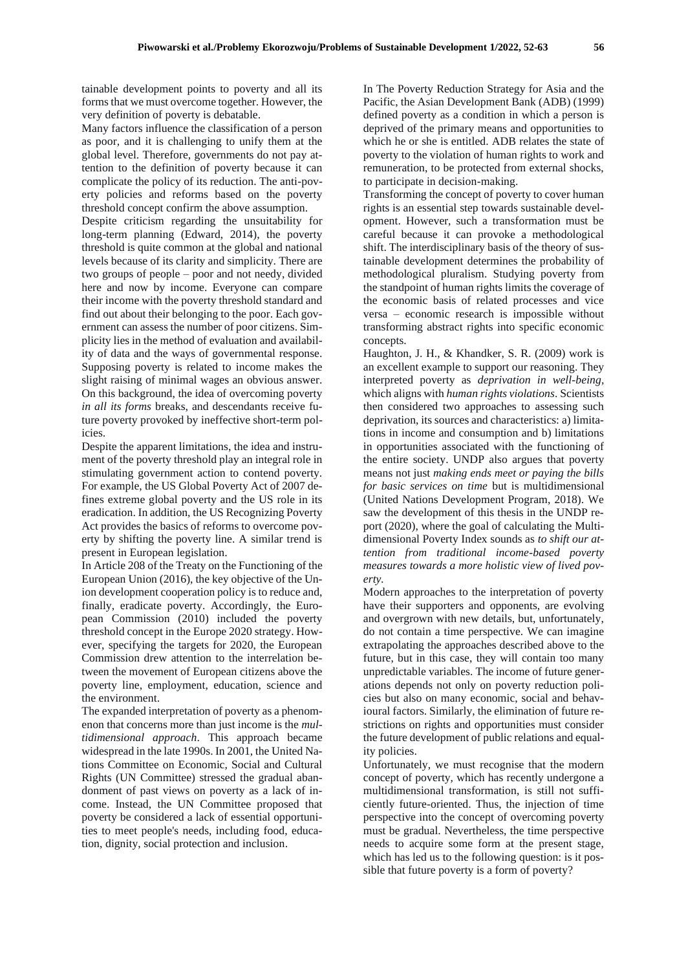tainable development points to poverty and all its forms that we must overcome together. However, the very definition of poverty is debatable.

Many factors influence the classification of a person as poor, and it is challenging to unify them at the global level. Therefore, governments do not pay attention to the definition of poverty because it can complicate the policy of its reduction. The anti-poverty policies and reforms based on the poverty threshold concept confirm the above assumption.

Despite criticism regarding the unsuitability for long-term planning (Edward, 2014), the poverty threshold is quite common at the global and national levels because of its clarity and simplicity. There are two groups of people – poor and not needy, divided here and now by income. Everyone can compare their income with the poverty threshold standard and find out about their belonging to the poor. Each government can assess the number of poor citizens. Simplicity lies in the method of evaluation and availability of data and the ways of governmental response. Supposing poverty is related to income makes the slight raising of minimal wages an obvious answer. On this background, the idea of overcoming poverty *in all its forms* breaks, and descendants receive future poverty provoked by ineffective short-term policies.

Despite the apparent limitations, the idea and instrument of the poverty threshold play an integral role in stimulating government action to contend poverty. For example, the US Global Poverty Act of 2007 defines extreme global poverty and the US role in its eradication. In addition, the US Recognizing Poverty Act provides the basics of reforms to overcome poverty by shifting the poverty line. A similar trend is present in European legislation.

In Article 208 of the Treaty on the Functioning of the European Union (2016), the key objective of the Union development cooperation policy is to reduce and, finally, eradicate poverty. Accordingly, the European Commission (2010) included the poverty threshold concept in the Europe 2020 strategy. However, specifying the targets for 2020, the European Commission drew attention to the interrelation between the movement of European citizens above the poverty line, employment, education, science and the environment.

The expanded interpretation of poverty as a phenomenon that concerns more than just income is the *multidimensional approach*. This approach became widespread in the late 1990s. In 2001, the United Nations Committee on Economic, Social and Cultural Rights (UN Committee) stressed the gradual abandonment of past views on poverty as a lack of income. Instead, the UN Committee proposed that poverty be considered a lack of essential opportunities to meet people's needs, including food, education, dignity, social protection and inclusion.

In The Poverty Reduction Strategy for Asia and the Pacific, the Asian Development Bank (ADB) (1999) defined poverty as a condition in which a person is deprived of the primary means and opportunities to which he or she is entitled. ADB relates the state of poverty to the violation of human rights to work and remuneration, to be protected from external shocks, to participate in decision-making.

Transforming the concept of poverty to cover human rights is an essential step towards sustainable development. However, such a transformation must be careful because it can provoke a methodological shift. The interdisciplinary basis of the theory of sustainable development determines the probability of methodological pluralism. Studying poverty from the standpoint of human rights limits the coverage of the economic basis of related processes and vice versa – economic research is impossible without transforming abstract rights into specific economic concepts.

Haughton, J. H., & Khandker, S. R. (2009) work is an excellent example to support our reasoning. They interpreted poverty as *deprivation in well-being,* which aligns with *human rights violations*. Scientists then considered two approaches to assessing such deprivation, its sources and characteristics: a) limitations in income and consumption and b) limitations in opportunities associated with the functioning of the entire society. UNDP also argues that poverty means not just *making ends meet or paying the bills for basic services on time* but is multidimensional (United Nations Development Program, 2018). We saw the development of this thesis in the UNDP report (2020), where the goal of calculating the Multidimensional Poverty Index sounds as *to shift our attention from traditional income-based poverty measures towards a more holistic view of lived poverty.*

Modern approaches to the interpretation of poverty have their supporters and opponents, are evolving and overgrown with new details, but, unfortunately, do not contain a time perspective. We can imagine extrapolating the approaches described above to the future, but in this case, they will contain too many unpredictable variables. The income of future generations depends not only on poverty reduction policies but also on many economic, social and behavioural factors. Similarly, the elimination of future restrictions on rights and opportunities must consider the future development of public relations and equality policies.

Unfortunately, we must recognise that the modern concept of poverty, which has recently undergone a multidimensional transformation, is still not sufficiently future-oriented. Thus, the injection of time perspective into the concept of overcoming poverty must be gradual. Nevertheless, the time perspective needs to acquire some form at the present stage, which has led us to the following question: is it possible that future poverty is a form of poverty?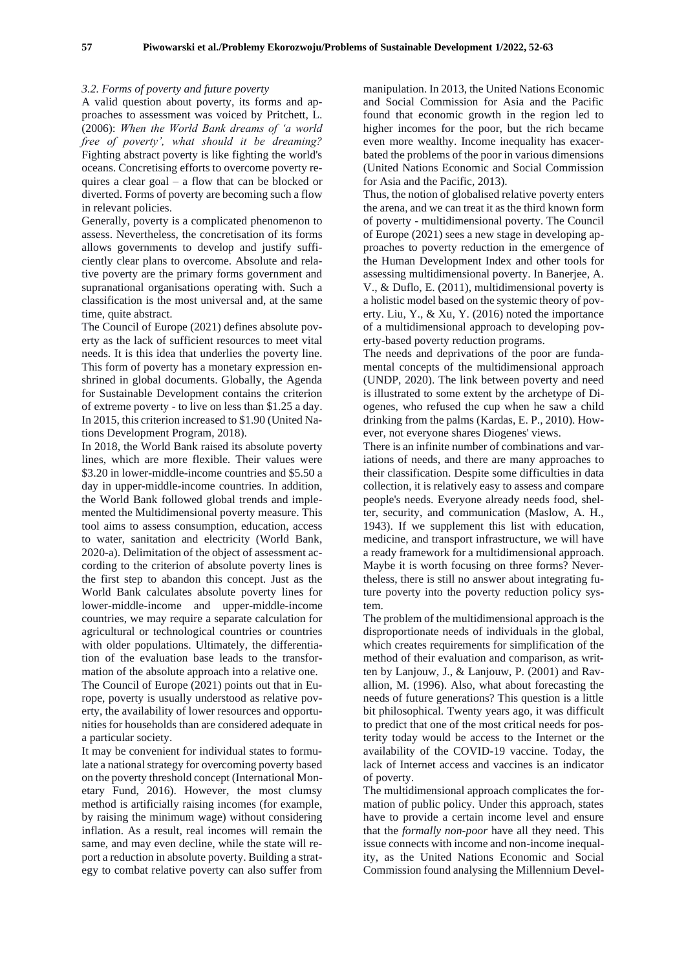#### *3.2. Forms of poverty and future poverty*

A valid question about poverty, its forms and approaches to assessment was voiced by Pritchett, L. (2006): *When the World Bank dreams of 'a world free of poverty', what should it be dreaming?* Fighting abstract poverty is like fighting the world's oceans. Concretising efforts to overcome poverty requires a clear goal – a flow that can be blocked or diverted. Forms of poverty are becoming such a flow in relevant policies.

Generally, poverty is a complicated phenomenon to assess. Nevertheless, the concretisation of its forms allows governments to develop and justify sufficiently clear plans to overcome. Absolute and relative poverty are the primary forms government and supranational organisations operating with. Such a classification is the most universal and, at the same time, quite abstract.

The Council of Europe (2021) defines absolute poverty as the lack of sufficient resources to meet vital needs. It is this idea that underlies the poverty line. This form of poverty has a monetary expression enshrined in global documents. Globally, the Agenda for Sustainable Development contains the criterion of extreme poverty - to live on less than \$1.25 a day. In 2015, this criterion increased to \$1.90 (United Nations Development Program, 2018).

In 2018, the World Bank raised its absolute poverty lines, which are more flexible. Their values were \$3.20 in lower-middle-income countries and \$5.50 a day in upper-middle-income countries. In addition, the World Bank followed global trends and implemented the Multidimensional poverty measure. This tool aims to assess consumption, education, access to water, sanitation and electricity (World Bank, 2020-a). Delimitation of the object of assessment according to the criterion of absolute poverty lines is the first step to abandon this concept. Just as the World Bank calculates absolute poverty lines for lower-middle-income and upper-middle-income countries, we may require a separate calculation for agricultural or technological countries or countries with older populations. Ultimately, the differentiation of the evaluation base leads to the transformation of the absolute approach into a relative one. The Council of Europe (2021) points out that in Europe, poverty is usually understood as relative poverty, the availability of lower resources and opportunities for households than are considered adequate in a particular society.

It may be convenient for individual states to formulate a national strategy for overcoming poverty based on the poverty threshold concept (International Monetary Fund, 2016). However, the most clumsy method is artificially raising incomes (for example, by raising the minimum wage) without considering inflation. As a result, real incomes will remain the same, and may even decline, while the state will report a reduction in absolute poverty. Building a strategy to combat relative poverty can also suffer from

manipulation. In 2013, the United Nations Economic and Social Commission for Asia and the Pacific found that economic growth in the region led to higher incomes for the poor, but the rich became even more wealthy. Income inequality has exacerbated the problems of the poor in various dimensions (United Nations Economic and Social Commission for Asia and the Pacific, 2013).

Thus, the notion of globalised relative poverty enters the arena, and we can treat it as the third known form of poverty - multidimensional poverty. The Council of Europe (2021) sees a new stage in developing approaches to poverty reduction in the emergence of the Human Development Index and other tools for assessing multidimensional poverty. In Banerjee, A. V., & Duflo, E. (2011), multidimensional poverty is a holistic model based on the systemic theory of poverty. Liu, Y., & Xu, Y. (2016) noted the importance of a multidimensional approach to developing poverty-based poverty reduction programs.

The needs and deprivations of the poor are fundamental concepts of the multidimensional approach (UNDP, 2020). The link between poverty and need is illustrated to some extent by the archetype of Diogenes, who refused the cup when he saw a child drinking from the palms (Kardas, E. P., 2010). However, not everyone shares Diogenes' views.

There is an infinite number of combinations and variations of needs, and there are many approaches to their classification. Despite some difficulties in data collection, it is relatively easy to assess and compare people's needs. Everyone already needs food, shelter, security, and communication (Maslow, A. H., 1943). If we supplement this list with education, medicine, and transport infrastructure, we will have a ready framework for a multidimensional approach. Maybe it is worth focusing on three forms? Nevertheless, there is still no answer about integrating future poverty into the poverty reduction policy system.

The problem of the multidimensional approach is the disproportionate needs of individuals in the global, which creates requirements for simplification of the method of their evaluation and comparison, as written by Lanjouw, J., & Lanjouw, P. (2001) and Ravallion, M. (1996). Also, what about forecasting the needs of future generations? This question is a little bit philosophical. Twenty years ago, it was difficult to predict that one of the most critical needs for posterity today would be access to the Internet or the availability of the COVID-19 vaccine. Today, the lack of Internet access and vaccines is an indicator of poverty.

The multidimensional approach complicates the formation of public policy. Under this approach, states have to provide a certain income level and ensure that the *formally non-poor* have all they need. This issue connects with income and non-income inequality, as the United Nations Economic and Social Commission found analysing the Millennium Devel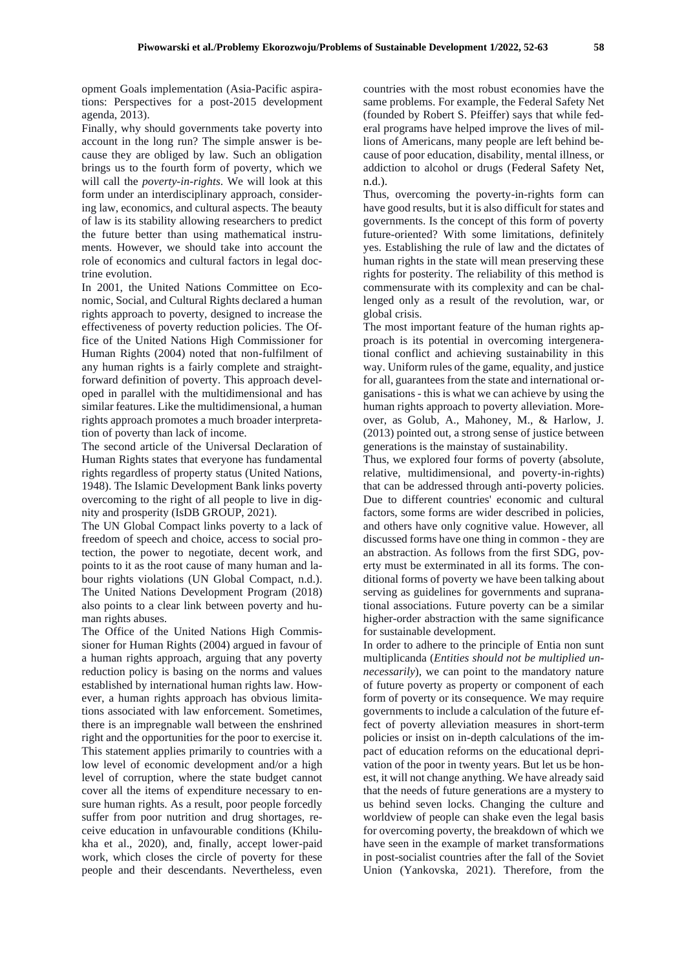opment Goals implementation (Asia-Pacific aspirations: Perspectives for a post-2015 development agenda, 2013).

Finally, why should governments take poverty into account in the long run? The simple answer is because they are obliged by law. Such an obligation brings us to the fourth form of poverty, which we will call the *poverty-in-rights*. We will look at this form under an interdisciplinary approach, considering law, economics, and cultural aspects. The beauty of law is its stability allowing researchers to predict the future better than using mathematical instruments. However, we should take into account the role of economics and cultural factors in legal doctrine evolution.

In 2001, the United Nations Committee on Economic, Social, and Cultural Rights declared a human rights approach to poverty, designed to increase the effectiveness of poverty reduction policies. The Office of the United Nations High Commissioner for Human Rights (2004) noted that non-fulfilment of any human rights is a fairly complete and straightforward definition of poverty. This approach developed in parallel with the multidimensional and has similar features. Like the multidimensional, a human rights approach promotes a much broader interpretation of poverty than lack of income.

The second article of the Universal Declaration of Human Rights states that everyone has fundamental rights regardless of property status (United Nations, 1948). The Islamic Development Bank links poverty overcoming to the right of all people to live in dignity and prosperity (IsDB GROUP, 2021).

The UN Global Compact links poverty to a lack of freedom of speech and choice, access to social protection, the power to negotiate, decent work, and points to it as the root cause of many human and labour rights violations (UN Global Compact, n.d.). The United Nations Development Program (2018) also points to a clear link between poverty and human rights abuses.

The Office of the United Nations High Commissioner for Human Rights (2004) argued in favour of a human rights approach, arguing that any poverty reduction policy is basing on the norms and values established by international human rights law. However, a human rights approach has obvious limitations associated with law enforcement. Sometimes, there is an impregnable wall between the enshrined right and the opportunities for the poor to exercise it. This statement applies primarily to countries with a low level of economic development and/or a high level of corruption, where the state budget cannot cover all the items of expenditure necessary to ensure human rights. As a result, poor people forcedly suffer from poor nutrition and drug shortages, receive education in unfavourable conditions (Khilukha et al., 2020), and, finally, accept lower-paid work, which closes the circle of poverty for these people and their descendants. Nevertheless, even

countries with the most robust economies have the same problems. For example, the Federal Safety Net (founded by Robert S. Pfeiffer) says that while federal programs have helped improve the lives of millions of Americans, many people are left behind because of poor education, disability, mental illness, or addiction to alcohol or drugs (Federal Safety Net, n.d.).

Thus, overcoming the poverty-in-rights form can have good results, but it is also difficult for states and governments. Is the concept of this form of poverty future-oriented? With some limitations, definitely yes. Establishing the rule of law and the dictates of human rights in the state will mean preserving these rights for posterity. The reliability of this method is commensurate with its complexity and can be challenged only as a result of the revolution, war, or global crisis.

The most important feature of the human rights approach is its potential in overcoming intergenerational conflict and achieving sustainability in this way. Uniform rules of the game, equality, and justice for all, guarantees from the state and international organisations - this is what we can achieve by using the human rights approach to poverty alleviation. Moreover, as Golub, A., Mahoney, M., & Harlow, J. (2013) pointed out, a strong sense of justice between generations is the mainstay of sustainability.

Thus, we explored four forms of poverty (absolute, relative, multidimensional, and poverty-in-rights) that can be addressed through anti-poverty policies. Due to different countries' economic and cultural factors, some forms are wider described in policies, and others have only cognitive value. However, all discussed forms have one thing in common - they are an abstraction. As follows from the first SDG, poverty must be exterminated in all its forms. The conditional forms of poverty we have been talking about serving as guidelines for governments and supranational associations. Future poverty can be a similar higher-order abstraction with the same significance for sustainable development.

In order to adhere to the principle of Entia non sunt multiplicanda (*Entities should not be multiplied unnecessarily*), we can point to the mandatory nature of future poverty as property or component of each form of poverty or its consequence. We may require governments to include a calculation of the future effect of poverty alleviation measures in short-term policies or insist on in-depth calculations of the impact of education reforms on the educational deprivation of the poor in twenty years. But let us be honest, it will not change anything. We have already said that the needs of future generations are a mystery to us behind seven locks. Changing the culture and worldview of people can shake even the legal basis for overcoming poverty, the breakdown of which we have seen in the example of market transformations in post-socialist countries after the fall of the Soviet Union (Yankovska, 2021). Therefore, from the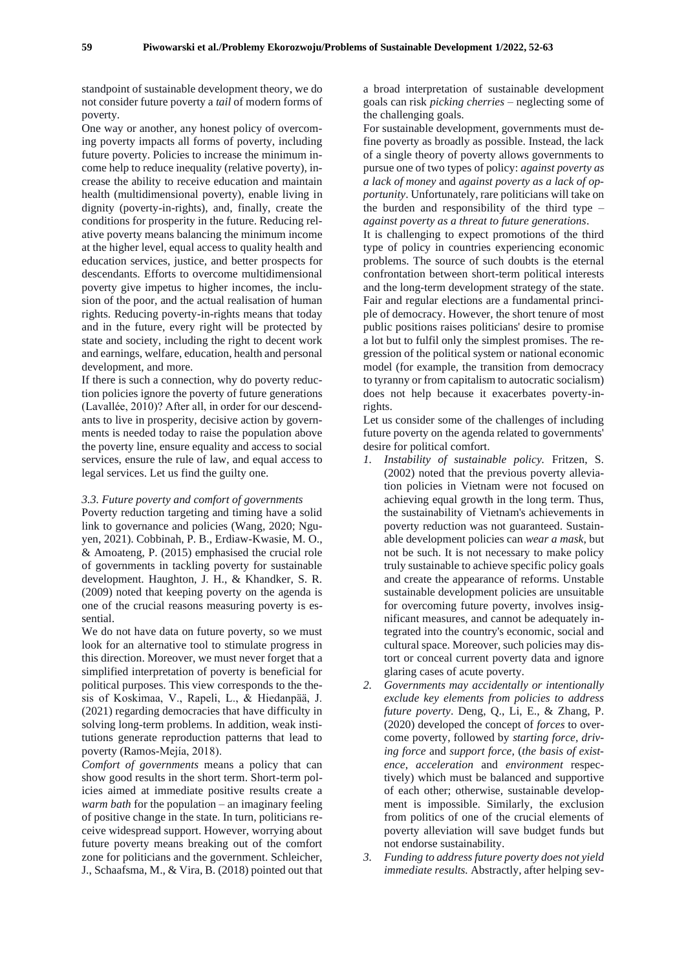standpoint of sustainable development theory, we do not consider future poverty a *tail* of modern forms of poverty.

One way or another, any honest policy of overcoming poverty impacts all forms of poverty, including future poverty. Policies to increase the minimum income help to reduce inequality (relative poverty), increase the ability to receive education and maintain health (multidimensional poverty), enable living in dignity (poverty-in-rights), and, finally, create the conditions for prosperity in the future. Reducing relative poverty means balancing the minimum income at the higher level, equal access to quality health and education services, justice, and better prospects for descendants. Efforts to overcome multidimensional poverty give impetus to higher incomes, the inclusion of the poor, and the actual realisation of human rights. Reducing poverty-in-rights means that today and in the future, every right will be protected by state and society, including the right to decent work and earnings, welfare, education, health and personal development, and more.

If there is such a connection, why do poverty reduction policies ignore the poverty of future generations (Lavallée, 2010)? After all, in order for our descendants to live in prosperity, decisive action by governments is needed today to raise the population above the poverty line, ensure equality and access to social services, ensure the rule of law, and equal access to legal services. Let us find the guilty one.

#### *3.3. Future poverty and comfort of governments*

Poverty reduction targeting and timing have a solid link to governance and policies (Wang, 2020; Nguyen, 2021). Cobbinah, P. B., Erdiaw-Kwasie, M. O., & Amoateng, P. (2015) emphasised the crucial role of governments in tackling poverty for sustainable development. Haughton, J. H., & Khandker, S. R. (2009) noted that keeping poverty on the agenda is one of the crucial reasons measuring poverty is essential.

We do not have data on future poverty, so we must look for an alternative tool to stimulate progress in this direction. Moreover, we must never forget that a simplified interpretation of poverty is beneficial for political purposes. This view corresponds to the thesis of Koskimaa, V., Rapeli, L., & Hiedanpää, J. (2021) regarding democracies that have difficulty in solving long-term problems. In addition, weak institutions generate reproduction patterns that lead to poverty (Ramos-Mejía, 2018).

*Comfort of governments* means a policy that can show good results in the short term. Short-term policies aimed at immediate positive results create a *warm bath* for the population – an imaginary feeling of positive change in the state. In turn, politicians receive widespread support. However, worrying about future poverty means breaking out of the comfort zone for politicians and the government. Schleicher, J., Schaafsma, M., & Vira, B. (2018) pointed out that

a broad interpretation of sustainable development goals can risk *picking cherries* – neglecting some of the challenging goals.

For sustainable development, governments must define poverty as broadly as possible. Instead, the lack of a single theory of poverty allows governments to pursue one of two types of policy: *against poverty as a lack of money* and *against poverty as a lack of opportunity*. Unfortunately, rare politicians will take on the burden and responsibility of the third type – *against poverty as a threat to future generations*.

It is challenging to expect promotions of the third type of policy in countries experiencing economic problems. The source of such doubts is the eternal confrontation between short-term political interests and the long-term development strategy of the state. Fair and regular elections are a fundamental principle of democracy. However, the short tenure of most public positions raises politicians' desire to promise a lot but to fulfil only the simplest promises. The regression of the political system or national economic model (for example, the transition from democracy to tyranny or from capitalism to autocratic socialism) does not help because it exacerbates poverty-inrights.

Let us consider some of the challenges of including future poverty on the agenda related to governments' desire for political comfort.

- *1. Instability of sustainable policy.* Fritzen, S. (2002) noted that the previous poverty alleviation policies in Vietnam were not focused on achieving equal growth in the long term. Thus, the sustainability of Vietnam's achievements in poverty reduction was not guaranteed. Sustainable development policies can *wear a mask*, but not be such. It is not necessary to make policy truly sustainable to achieve specific policy goals and create the appearance of reforms. Unstable sustainable development policies are unsuitable for overcoming future poverty, involves insignificant measures, and cannot be adequately integrated into the country's economic, social and cultural space. Moreover, such policies may distort or conceal current poverty data and ignore glaring cases of acute poverty.
- *2. Governments may accidentally or intentionally exclude key elements from policies to address future poverty*. Deng, Q., Li, E., & Zhang, P. (2020) developed the concept of *forces* to overcome poverty, followed by *starting force, driving force* and *support force,* (*the basis of existence*, *acceleration* and *environment* respectively) which must be balanced and supportive of each other; otherwise, sustainable development is impossible. Similarly, the exclusion from politics of one of the crucial elements of poverty alleviation will save budget funds but not endorse sustainability.
- *3. Funding to address future poverty does not yield immediate results.* Abstractly, after helping sev-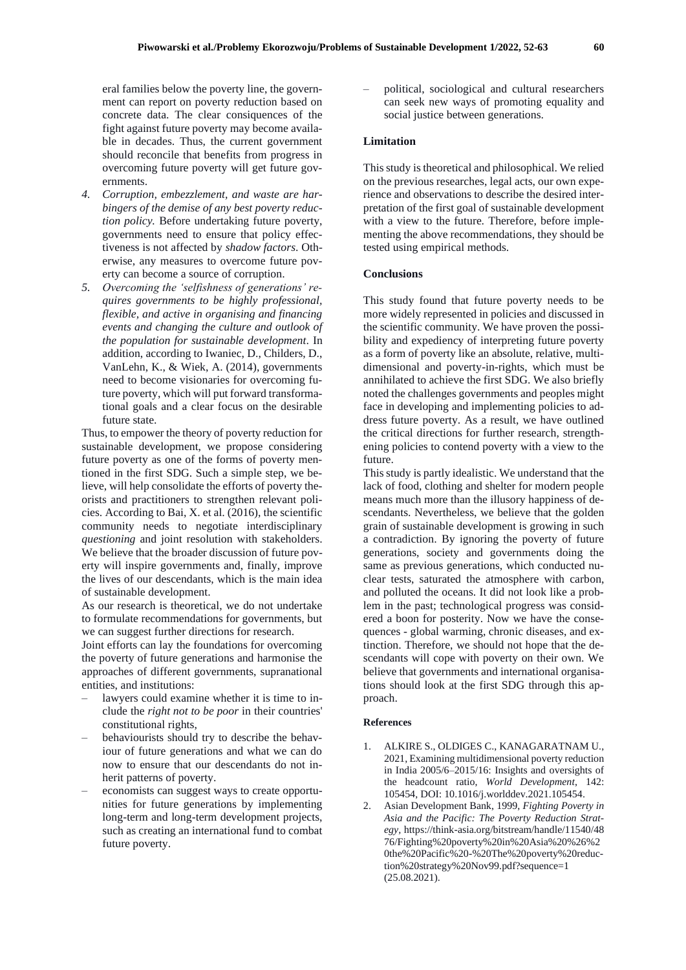eral families below the poverty line, the government can report on poverty reduction based on concrete data. The clear consiquences of the fight against future poverty may become available in decades. Thus, the current government should reconcile that benefits from progress in overcoming future poverty will get future governments.

- *4. Corruption, embezzlement, and waste are harbingers of the demise of any best poverty reduction policy.* Before undertaking future poverty, governments need to ensure that policy effectiveness is not affected by *shadow factors*. Otherwise, any measures to overcome future poverty can become a source of corruption.
- *5. Overcoming the 'selfishness of generations' requires governments to be highly professional, flexible, and active in organising and financing events and changing the culture and outlook of the population for sustainable development*. In addition, according to Iwaniec, D., Childers, D., VanLehn, K., & Wiek, A. (2014), governments need to become visionaries for overcoming future poverty, which will put forward transformational goals and a clear focus on the desirable future state.

Thus, to empower the theory of poverty reduction for sustainable development, we propose considering future poverty as one of the forms of poverty mentioned in the first SDG. Such a simple step, we believe, will help consolidate the efforts of poverty theorists and practitioners to strengthen relevant policies. According to Bai, X. et al. (2016), the scientific community needs to negotiate interdisciplinary *questioning* and joint resolution with stakeholders. We believe that the broader discussion of future poverty will inspire governments and, finally, improve the lives of our descendants, which is the main idea of sustainable development.

As our research is theoretical, we do not undertake to formulate recommendations for governments, but we can suggest further directions for research.

Joint efforts can lay the foundations for overcoming the poverty of future generations and harmonise the approaches of different governments, supranational entities, and institutions:

- lawyers could examine whether it is time to include the *right not to be poor* in their countries' constitutional rights,
- behaviourists should try to describe the behaviour of future generations and what we can do now to ensure that our descendants do not inherit patterns of poverty.
- economists can suggest ways to create opportunities for future generations by implementing long-term and long-term development projects, such as creating an international fund to combat future poverty.

– political, sociological and cultural researchers can seek new ways of promoting equality and social justice between generations.

#### **Limitation**

This study is theoretical and philosophical. We relied on the previous researches, legal acts, our own experience and observations to describe the desired interpretation of the first goal of sustainable development with a view to the future. Therefore, before implementing the above recommendations, they should be tested using empirical methods.

#### **Conclusions**

This study found that future poverty needs to be more widely represented in policies and discussed in the scientific community. We have proven the possibility and expediency of interpreting future poverty as a form of poverty like an absolute, relative, multidimensional and poverty-in-rights, which must be annihilated to achieve the first SDG. We also briefly noted the challenges governments and peoples might face in developing and implementing policies to address future poverty. As a result, we have outlined the critical directions for further research, strengthening policies to contend poverty with a view to the future.

This study is partly idealistic. We understand that the lack of food, clothing and shelter for modern people means much more than the illusory happiness of descendants. Nevertheless, we believe that the golden grain of sustainable development is growing in such a contradiction. By ignoring the poverty of future generations, society and governments doing the same as previous generations, which conducted nuclear tests, saturated the atmosphere with carbon, and polluted the oceans. It did not look like a problem in the past; technological progress was considered a boon for posterity. Now we have the consequences - global warming, chronic diseases, and extinction. Therefore, we should not hope that the descendants will cope with poverty on their own. We believe that governments and international organisations should look at the first SDG through this approach.

#### **References**

- 1. ALKIRE S., OLDIGES C., KANAGARATNAM U., 2021, Examining multidimensional poverty reduction in India 2005/6–2015/16: Insights and oversights of the headcount ratio, *World Development*, 142: 105454, DOI: 10.1016/j.worlddev.2021.105454.
- 2. Asian Development Bank, 1999, *Fighting Poverty in Asia and the Pacific: The Poverty Reduction Strategy,* https://think-asia.org/bitstream/handle/11540/48 76/Fighting%20poverty%20in%20Asia%20%26%2 0the%20Pacific%20-%20The%20poverty%20reduction%20strategy%20Nov99.pdf?sequence=1 (25.08.2021).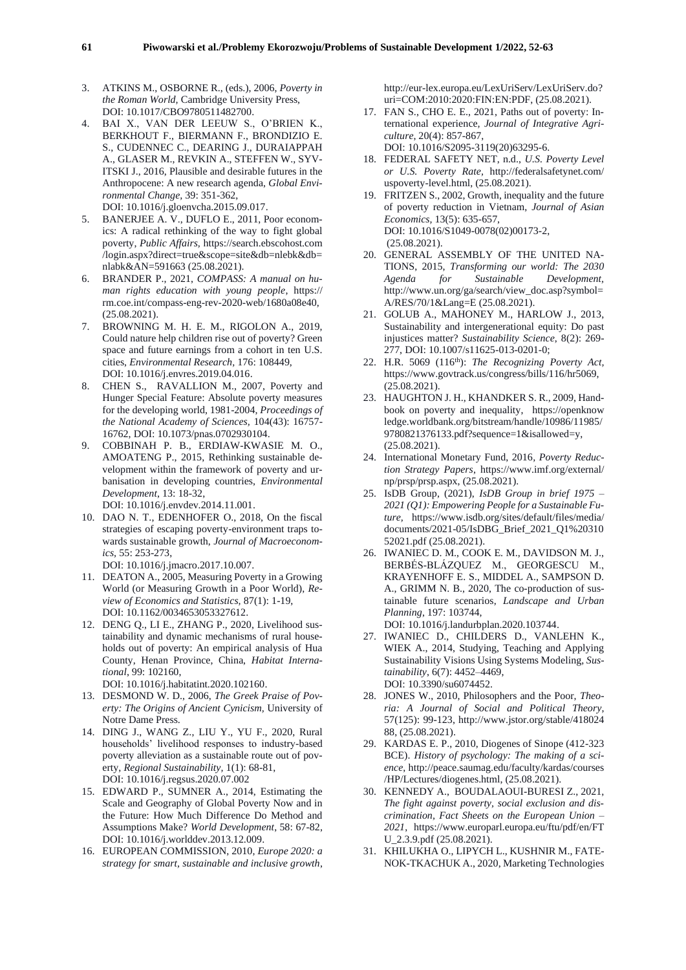- 3. ATKINS M., OSBORNE R., (eds.), 2006, *Poverty in the Roman World,* Cambridge University Press, DOI: 10.1017/CBO9780511482700.
- 4. BAI X., VAN DER LEEUW S., O'BRIEN K., BERKHOUT F., BIERMANN F., BRONDIZIO E. S., CUDENNEC C., DEARING J., DURAIAPPAH A., GLASER M., REVKIN A., STEFFEN W., SYV-ITSKI J., 2016, Plausible and desirable futures in the Anthropocene: A new research agenda, *Global Environmental Change,* 39: 351-362, DOI: 10.1016/j.gloenvcha.2015.09.017.
- 5. BANERJEE A. V., DUFLO E., 2011, Poor economics: A radical rethinking of the way to fight global poverty, *Public Affairs,* https://search.ebscohost.com /login.aspx?direct=true&scope=site&db=nlebk&db= nlabk&AN=591663 (25.08.2021).
- 6. BRANDER P., 2021, *COMPASS: A manual on human rights education with young people*, https:// rm.coe.int/compass-eng-rev-2020-web/1680a08e40, (25.08.2021).
- 7. BROWNING M. H. E. M., RIGOLON A., 2019, Could nature help children rise out of poverty? Green space and future earnings from a cohort in ten U.S. cities, *Environmental Research,* 176: 108449, DOI: 10.1016/j.envres.2019.04.016.
- 8. CHEN S., RAVALLION M., 2007, Poverty and Hunger Special Feature: Absolute poverty measures for the developing world, 1981-2004, *Proceedings of the National Academy of Sciences,* 104(43): 16757- 16762, DOI: 10.1073/pnas.0702930104.
- 9. COBBINAH P. B., ERDIAW-KWASIE M. O., AMOATENG P., 2015, Rethinking sustainable development within the framework of poverty and urbanisation in developing countries, *Environmental Development*, 13: 18-32,

DOI: 10.1016/j.envdev.2014.11.001.

10. DAO N. T., EDENHOFER O., 2018, On the fiscal strategies of escaping poverty-environment traps towards sustainable growth, *Journal of Macroeconomics,* 55: 253-273,

DOI: 10.1016/j.jmacro.2017.10.007.

- 11. DEATON A., 2005, Measuring Poverty in a Growing World (or Measuring Growth in a Poor World), *Review of Economics and Statistics,* 87(1): 1-19, DOI: 10.1162/0034653053327612.
- 12. DENG Q., LI E., ZHANG P., 2020, Livelihood sustainability and dynamic mechanisms of rural households out of poverty: An empirical analysis of Hua County, Henan Province, China, *Habitat International*, 99: 102160,

DOI: 10.1016/j.habitatint.2020.102160.

- 13. DESMOND W. D., 2006, *The Greek Praise of Poverty: The Origins of Ancient Cynicism,* University of Notre Dame Press.
- 14. DING J., WANG Z., LIU Y., YU F., 2020, Rural households' livelihood responses to industry-based poverty alleviation as a sustainable route out of poverty, *Regional Sustainability,* 1(1): 68-81, DOI: 10.1016/j.regsus.2020.07.002
- 15. EDWARD P., SUMNER A., 2014, Estimating the Scale and Geography of Global Poverty Now and in the Future: How Much Difference Do Method and Assumptions Make? *World Development*, 58: 67-82, DOI: 10.1016/j.worlddev.2013.12.009.
- 16. EUROPEAN COMMISSION, 2010, *Europe 2020: a strategy for smart, sustainable and inclusive growth*,

http://eur-lex.europa.eu/LexUriServ/LexUriServ.do? uri=COM:2010:2020:FIN:EN:PDF, (25.08.2021).

- 17. FAN S., CHO E. E., 2021, Paths out of poverty: International experience*, Journal of Integrative Agriculture*, 20(4): 857-867, DOI: 10.1016/S2095-3119(20)63295-6.
- 18. FEDERAL SAFETY NET, n.d., *U.S. Poverty Level or U.S. Poverty Rate,* http://federalsafetynet.com/ uspoverty-level.html, (25.08.2021).
- 19. FRITZEN S., 2002, Growth, inequality and the future of poverty reduction in Vietnam, *Journal of Asian Economics,* 13(5): 635-657, DOI: 10.1016/S1049-0078(02)00173-2, (25.08.2021).
- 20. GENERAL ASSEMBLY OF THE UNITED NA-TIONS, 2015, *Transforming our world: The 2030 Agenda for Sustainable Development,* http://www.un.org/ga/search/view\_doc.asp?symbol= A/RES/70/1&Lang=E (25.08.2021).
- 21. GOLUB A., MAHONEY M., HARLOW J., 2013, Sustainability and intergenerational equity: Do past injustices matter? *Sustainability Science*, 8(2): 269- 277, DOI: 10.1007/s11625-013-0201-0;
- 22. H.R. 5069 (116th): *The Recognizing Poverty Act,* https://www.govtrack.us/congress/bills/116/hr5069, (25.08.2021).
- 23. HAUGHTON J. H., KHANDKER S. R., 2009, Handbook on poverty and inequality, https://openknow ledge.worldbank.org/bitstream/handle/10986/11985/ 9780821376133.pdf?sequence=1&isallowed=y, (25.08.2021).
- 24. International Monetary Fund, 2016*, Poverty Reduction Strategy Papers*, https://www.imf.org/external/ np/prsp/prsp.aspx, (25.08.2021).
- 25. IsDB Group, (2021), *IsDB Group in brief 1975 – 2021 (Q1): Empowering People for a Sustainable Future,* https://www.isdb.org/sites/default/files/media/ documents/2021-05/IsDBG\_Brief\_2021\_Q1%20310 52021.pdf (25.08.2021).
- 26. IWANIEC D. M., COOK E. M., DAVIDSON M. J., BERBÉS-BLÁZQUEZ M., GEORGESCU M., KRAYENHOFF E. S., MIDDEL A., SAMPSON D. A., GRIMM N. B., 2020, The co-production of sustainable future scenarios, *Landscape and Urban Planning*, 197: 103744,

DOI: 10.1016/j.landurbplan.2020.103744.

- 27. IWANIEC D., CHILDERS D., VANLEHN K., WIEK A., 2014, Studying, Teaching and Applying Sustainability Visions Using Systems Modeling, *Sustainability*, 6(7): 4452–4469, DOI: 10.3390/su6074452.
- 28. JONES W., 2010, Philosophers and the Poor, *Theoria: A Journal of Social and Political Theory*, 57(125): 99-123, http://www.jstor.org/stable/418024 88, (25.08.2021).
- 29. KARDAS E. P., 2010, Diogenes of Sinope (412-323 BCE). *History of psychology: The making of a science*, http://peace.saumag.edu/faculty/kardas/courses /HP/Lectures/diogenes.html, (25.08.2021).
- 30. KENNEDY A., BOUDALAOUI-BURESI Z., 2021, *The fight against poverty, social exclusion and discrimination, Fact Sheets on the European Union – 2021*, https://www.europarl.europa.eu/ftu/pdf/en/FT U\_2.3.9.pdf (25.08.2021).
- 31. KHILUKHA O., LIPYCH L., KUSHNIR M., FATE-NOK-TKACHUK A., 2020, Marketing Technologies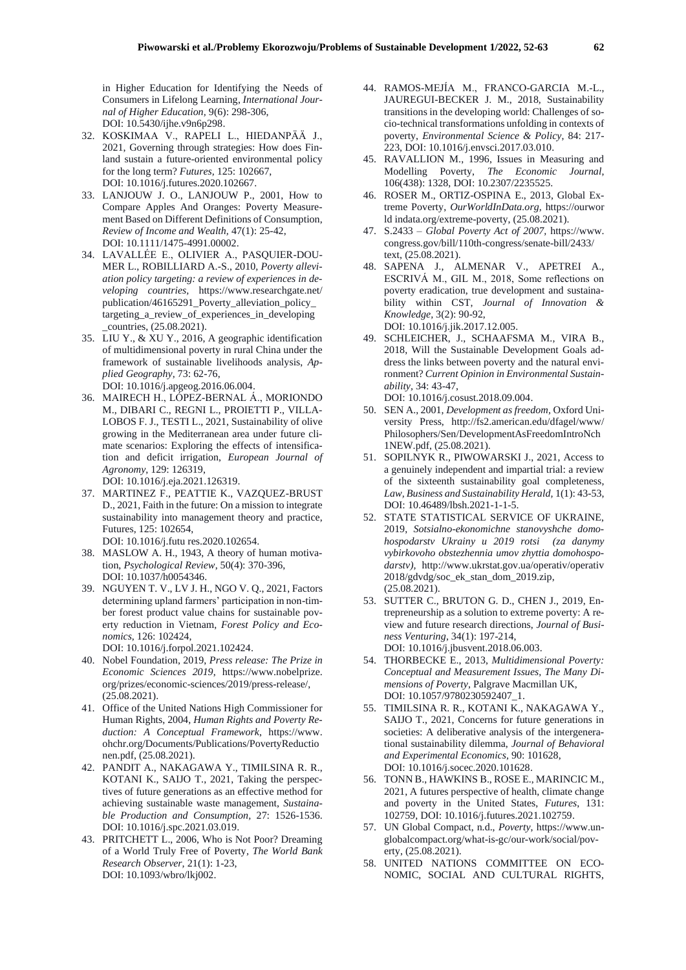in Higher Education for Identifying the Needs of Consumers in Lifelong Learning, *International Journal of Higher Education,* 9(6): 298-306, DOI: 10.5430/ijhe.v9n6p298.

- 32. KOSKIMAA V., RAPELI L., HIEDANPÄÄ J., 2021, Governing through strategies: How does Finland sustain a future-oriented environmental policy for the long term? *Futures,* 125: 102667, DOI: 10.1016/j.futures.2020.102667.
- 33. LANJOUW J. O., LANJOUW P., 2001, How to Compare Apples And Oranges: Poverty Measurement Based on Different Definitions of Consumption, *Review of Income and Wealth,* 47(1): 25-42, DOI: 10.1111/1475-4991.00002.
- 34. LAVALLÉE E., OLIVIER A., PASQUIER-DOU-MER L., ROBILLIARD A.-S., 2010*, Poverty alleviation policy targeting: a review of experiences in developing countries,* https://www.researchgate.net/ publication/46165291\_Poverty\_alleviation\_policy\_ targeting\_a\_review\_of\_experiences\_in\_developing \_countries, (25.08.2021).
- 35. LIU Y., & XU Y., 2016, A geographic identification of multidimensional poverty in rural China under the framework of sustainable livelihoods analysis, *Applied Geography*, 73: 62-76, DOI: 10.1016/j.apgeog.2016.06.004.
- 36. MAIRECH H., LÓPEZ-BERNAL Á., MORIONDO M., DIBARI C., REGNI L., PROIETTI P., VILLA-LOBOS F. J., TESTI L., 2021, Sustainability of olive growing in the Mediterranean area under future climate scenarios: Exploring the effects of intensification and deficit irrigation, *European Journal of Agronomy*, 129: 126319, DOI: 10.1016/j.eja.2021.126319.
- 37. MARTINEZ F., PEATTIE K., VAZQUEZ-BRUST D., 2021, Faith in the future: On a mission to integrate sustainability into management theory and practice, Futures, 125: 102654,

DOI: 10.1016/j.futu res.2020.102654.

- 38. MASLOW A. H., 1943, A theory of human motivation, *Psychological Review*, 50(4): 370-396, DOI: 10.1037/h0054346.
- 39. NGUYEN T. V., LV J. H., NGO V. Q., 2021, Factors determining upland farmers' participation in non-timber forest product value chains for sustainable poverty reduction in Vietnam, *Forest Policy and Economics*, 126: 102424,

DOI: 10.1016/j.forpol.2021.102424.

- 40. Nobel Foundation, 2019, *Press release: The Prize in Economic Sciences 2019*, https://www.nobelprize. org/prizes/economic-sciences/2019/press-release/, (25.08.2021).
- 41. Office of the United Nations High Commissioner for Human Rights, 2004, *Human Rights and Poverty Reduction: A Conceptual Framework*, https://www. ohchr.org/Documents/Publications/PovertyReductio nen.pdf, (25.08.2021).
- 42. PANDIT A., NAKAGAWA Y., TIMILSINA R. R., KOTANI K., SAIJO T., 2021, Taking the perspectives of future generations as an effective method for achieving sustainable waste management, *Sustainable Production and Consumption,* 27: 1526-1536. DOI: 10.1016/j.spc.2021.03.019.
- 43. PRITCHETT L., 2006, Who is Not Poor? Dreaming of a World Truly Free of Poverty*, The World Bank Research Observer,* 21(1): 1-23, DOI: 10.1093/wbro/lkj002.
- 44. RAMOS-MEJÍA M., FRANCO-GARCIA M.-L., JAUREGUI-BECKER J. M., 2018, Sustainability transitions in the developing world: Challenges of socio-technical transformations unfolding in contexts of poverty, *Environmental Science & Policy*, 84: 217- 223, DOI: 10.1016/j.envsci.2017.03.010.
- 45. RAVALLION M., 1996, Issues in Measuring and Modelling Poverty, *The Economic Journal*, 106(438): 1328, DOI: 10.2307/2235525.
- 46. ROSER M., ORTIZ-OSPINA E., 2013, Global Extreme Poverty, *OurWorldInData.org,* https://ourwor ld indata.org/extreme-poverty, (25.08.2021).
- 47. S.2433 *Global Poverty Act of 2007,* https://www. congress.gov/bill/110th-congress/senate-bill/2433/ text, (25.08.2021).
- 48. SAPENA J., ALMENAR V., APETREI A., ESCRIVÁ M., GIL M., 2018, Some reflections on poverty eradication, true development and sustainability within CST, *Journal of Innovation & Knowledge,* 3(2): 90-92, DOI: 10.1016/j.jik.2017.12.005.
- 49. SCHLEICHER, J., SCHAAFSMA M., VIRA B., 2018, Will the Sustainable Development Goals address the links between poverty and the natural environment? *Current Opinion in Environmental Sustainability,* 34: 43-47, DOI: 10.1016/j.cosust.2018.09.004.
- 50. SEN A., 2001, *Development as freedom,* Oxford University Press, http://fs2.american.edu/dfagel/www/ Philosophers/Sen/DevelopmentAsFreedomIntroNch 1NEW.pdf, (25.08.2021).
- 51. SOPILNYK R., PIWOWARSKI J., 2021, Access to a genuinely independent and impartial trial: a review of the sixteenth sustainability goal completeness, *Law, Business and Sustainability Herald,* 1(1): 43-53, DOI: 10.46489/lbsh.2021-1-1-5.
- 52. STATE STATISTICAL SERVICE OF UKRAINE, 2019, *Sotsialno-ekonomichne stanovyshche domohospodarstv Ukrainy u 2019 rotsi (za danymy vybirkovoho obstezhennia umov zhyttia domohospodarstv),* http://www.ukrstat.gov.ua/operativ/operativ 2018/gdvdg/soc\_ek\_stan\_dom\_2019.zip, (25.08.2021).
- 53. SUTTER C., BRUTON G. D., CHEN J., 2019, Entrepreneurship as a solution to extreme poverty: A review and future research directions, *Journal of Business Venturing*, 34(1): 197-214, DOI: 10.1016/j.jbusvent.2018.06.003.
- 54. THORBECKE E., 2013, *Multidimensional Poverty: Conceptual and Measurement Issues, The Many Dimensions of Poverty*, Palgrave Macmillan UK, DOI: 10.1057/9780230592407\_1.
- 55. TIMILSINA R. R., KOTANI K., NAKAGAWA Y., SAIJO T., 2021, Concerns for future generations in societies: A deliberative analysis of the intergenerational sustainability dilemma, *Journal of Behavioral and Experimental Economics,* 90: 101628, DOI: 10.1016/j.socec.2020.101628.
- 56. TONN B., HAWKINS B., ROSE E., MARINCIC M., 2021, A futures perspective of health, climate change and poverty in the United States, *Futures*, 131: 102759, DOI: 10.1016/j.futures.2021.102759.
- 57. UN Global Compact, n.d., *Poverty*, https://www.unglobalcompact.org/what-is-gc/our-work/social/poverty, (25.08.2021).
- 58. UNITED NATIONS COMMITTEE ON ECO-NOMIC, SOCIAL AND CULTURAL RIGHTS,